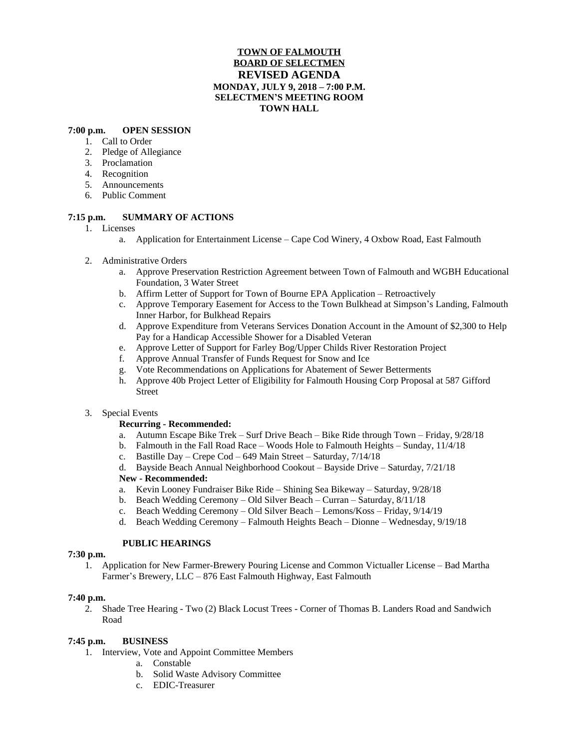# **TOWN OF FALMOUTH BOARD OF SELECTMEN REVISED AGENDA MONDAY, JULY 9, 2018 – 7:00 P.M. SELECTMEN'S MEETING ROOM TOWN HALL**

#### **7:00 p.m. OPEN SESSION**

- 1. Call to Order
- 2. Pledge of Allegiance
- 3. Proclamation
- 4. Recognition
- 5. Announcements
- 6. Public Comment

## **7:15 p.m. SUMMARY OF ACTIONS**

- 1. Licenses
	- a. Application for Entertainment License Cape Cod Winery, 4 Oxbow Road, East Falmouth
- 2. Administrative Orders
	- a. Approve Preservation Restriction Agreement between Town of Falmouth and WGBH Educational Foundation, 3 Water Street
	- b. Affirm Letter of Support for Town of Bourne EPA Application Retroactively
	- c. Approve Temporary Easement for Access to the Town Bulkhead at Simpson's Landing, Falmouth Inner Harbor, for Bulkhead Repairs
	- d. Approve Expenditure from Veterans Services Donation Account in the Amount of \$2,300 to Help Pay for a Handicap Accessible Shower for a Disabled Veteran
	- e. Approve Letter of Support for Farley Bog/Upper Childs River Restoration Project
	- f. Approve Annual Transfer of Funds Request for Snow and Ice
	- g. Vote Recommendations on Applications for Abatement of Sewer Betterments
	- h. Approve 40b Project Letter of Eligibility for Falmouth Housing Corp Proposal at 587 Gifford Street

## 3. Special Events

## **Recurring - Recommended:**

- a. Autumn Escape Bike Trek Surf Drive Beach Bike Ride through Town Friday, 9/28/18
- b. Falmouth in the Fall Road Race Woods Hole to Falmouth Heights Sunday, 11/4/18
- c. Bastille Day Crepe Cod 649 Main Street Saturday, 7/14/18
- d. Bayside Beach Annual Neighborhood Cookout Bayside Drive Saturday, 7/21/18

## **New - Recommended:**

- a. Kevin Looney Fundraiser Bike Ride Shining Sea Bikeway Saturday, 9/28/18
- b. Beach Wedding Ceremony Old Silver Beach Curran Saturday, 8/11/18
- c. Beach Wedding Ceremony Old Silver Beach Lemons/Koss Friday, 9/14/19
- d. Beach Wedding Ceremony Falmouth Heights Beach Dionne Wednesday, 9/19/18

## **PUBLIC HEARINGS**

#### **7:30 p.m.**

1. Application for New Farmer-Brewery Pouring License and Common Victualler License – Bad Martha Farmer's Brewery, LLC – 876 East Falmouth Highway, East Falmouth

#### **7:40 p.m.**

2. Shade Tree Hearing - Two (2) Black Locust Trees - Corner of Thomas B. Landers Road and Sandwich Road

## **7:45 p.m. BUSINESS**

- 1. Interview, Vote and Appoint Committee Members
	- a. Constable
	- b. Solid Waste Advisory Committee
	- c. EDIC-Treasurer